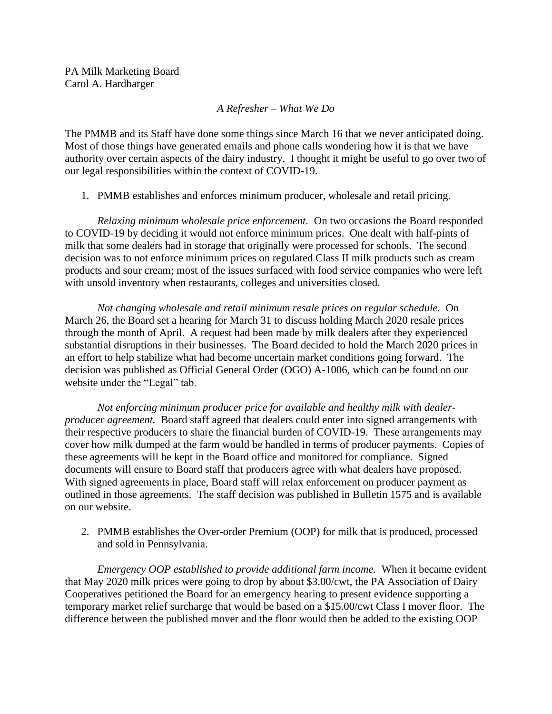*A Refresher – What We Do*

The PMMB and its Staff have done some things since March 16 that we never anticipated doing. Most of those things have generated emails and phone calls wondering how it is that we have authority over certain aspects of the dairy industry. I thought it might be useful to go over two of our legal responsibilities within the context of COVID-19.

1. PMMB establishes and enforces minimum producer, wholesale and retail pricing.

*Relaxing minimum wholesale price enforcement.* On two occasions the Board responded to COVID-19 by deciding it would not enforce minimum prices. One dealt with half-pints of milk that some dealers had in storage that originally were processed for schools. The second decision was to not enforce minimum prices on regulated Class II milk products such as cream products and sour cream; most of the issues surfaced with food service companies who were left with unsold inventory when restaurants, colleges and universities closed.

*Not changing wholesale and retail minimum resale prices on regular schedule.* On March 26, the Board set a hearing for March 31 to discuss holding March 2020 resale prices through the month of April. A request had been made by milk dealers after they experienced substantial disruptions in their businesses. The Board decided to hold the March 2020 prices in an effort to help stabilize what had become uncertain market conditions going forward. The decision was published as Official General Order (OGO) A-1006, which can be found on our website under the "Legal" tab.

*Not enforcing minimum producer price for available and healthy milk with dealerproducer agreement.* Board staff agreed that dealers could enter into signed arrangements with their respective producers to share the financial burden of COVID-19. These arrangements may cover how milk dumped at the farm would be handled in terms of producer payments. Copies of these agreements will be kept in the Board office and monitored for compliance. Signed documents will ensure to Board staff that producers agree with what dealers have proposed. With signed agreements in place, Board staff will relax enforcement on producer payment as outlined in those agreements. The staff decision was published in Bulletin 1575 and is available on our website.

2. PMMB establishes the Over-order Premium (OOP) for milk that is produced, processed and sold in Pennsylvania.

*Emergency OOP established to provide additional farm income.* When it became evident that May 2020 milk prices were going to drop by about \$3.00/cwt, the PA Association of Dairy Cooperatives petitioned the Board for an emergency hearing to present evidence supporting a temporary market relief surcharge that would be based on a \$15.00/cwt Class I mover floor. The difference between the published mover and the floor would then be added to the existing OOP